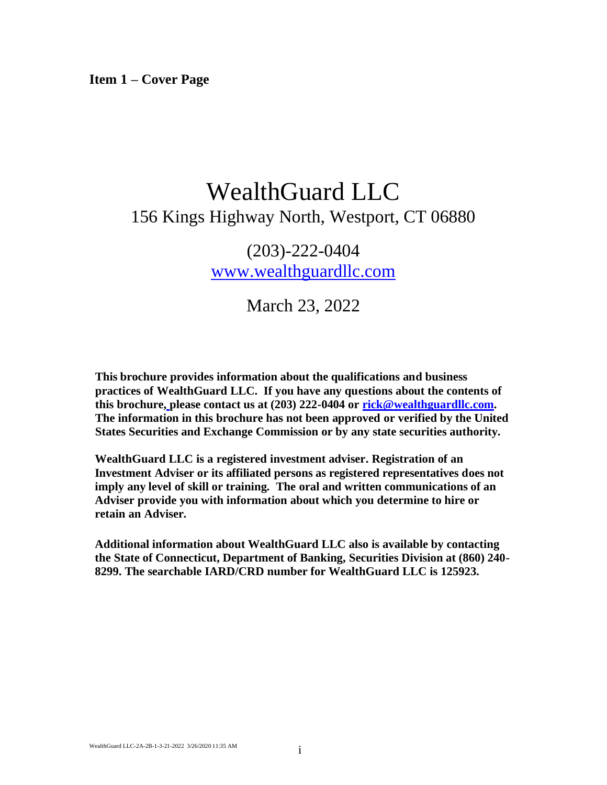**Item 1 – Cover Page**

# WealthGuard LLC 156 Kings Highway North, Westport, CT 06880

(203)-222-0404 [www.wealthguardllc.com](http://www.wealthguardllc.com/)

March 23, 2022

**This brochure provides information about the qualifications and business practices of WealthGuard LLC. If you have any questions about the contents of this brochure[,](mailto:michael@schreiberandassociates.com) please contact us at (203) 222-0404 or [rick@wealthguardllc.com.](mailto:rick@wealthguardllc.com) The information in this brochure has not been approved or verified by the United States Securities and Exchange Commission or by any state securities authority.**

**WealthGuard LLC is a registered investment adviser. Registration of an Investment Adviser or its affiliated persons as registered representatives does not imply any level of skill or training. The oral and written communications of an Adviser provide you with information about which you determine to hire or retain an Adviser.**

**Additional information about WealthGuard LLC also is available by contacting the State of Connecticut, Department of Banking, Securities Division at (860) 240- 8299. The searchable IARD/CRD number for WealthGuard LLC is 125923.**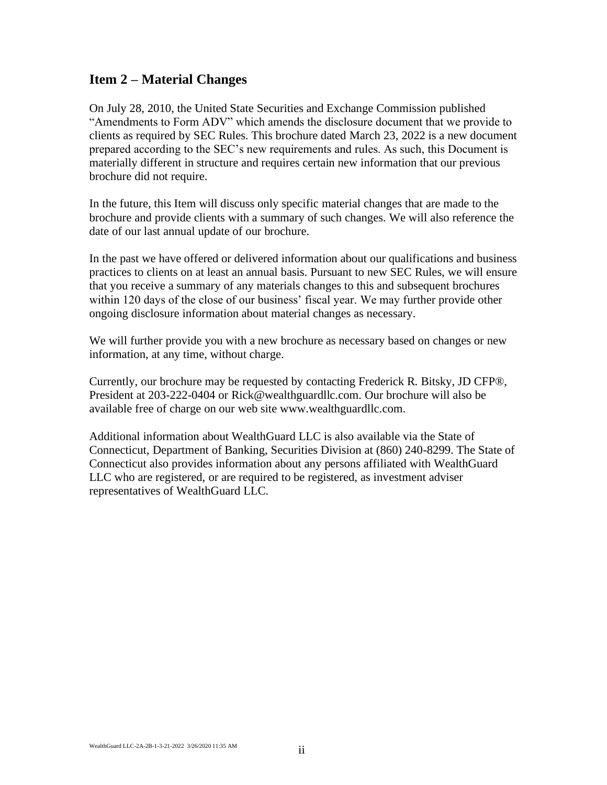### **Item 2 – Material Changes**

On July 28, 2010, the United State Securities and Exchange Commission published "Amendments to Form ADV" which amends the disclosure document that we provide to clients as required by SEC Rules. This brochure dated March 23, 2022 is a new document prepared according to the SEC's new requirements and rules. As such, this Document is materially different in structure and requires certain new information that our previous brochure did not require.

In the future, this Item will discuss only specific material changes that are made to the brochure and provide clients with a summary of such changes. We will also reference the date of our last annual update of our brochure.

In the past we have offered or delivered information about our qualifications and business practices to clients on at least an annual basis. Pursuant to new SEC Rules, we will ensure that you receive a summary of any materials changes to this and subsequent brochures within 120 days of the close of our business' fiscal year. We may further provide other ongoing disclosure information about material changes as necessary.

We will further provide you with a new brochure as necessary based on changes or new information, at any time, without charge.

Currently, our brochure may be requested by contacting Frederick R. Bitsky, JD CFP®, President at 203-222-0404 or Rick@wealthguardllc.com. Our brochure will also be available free of charge on our web site www.wealthguardllc.com.

Additional information about WealthGuard LLC is also available via the State of Connecticut, Department of Banking, Securities Division at (860) 240-8299. The State of Connecticut also provides information about any persons affiliated with WealthGuard LLC who are registered, or are required to be registered, as investment adviser representatives of WealthGuard LLC.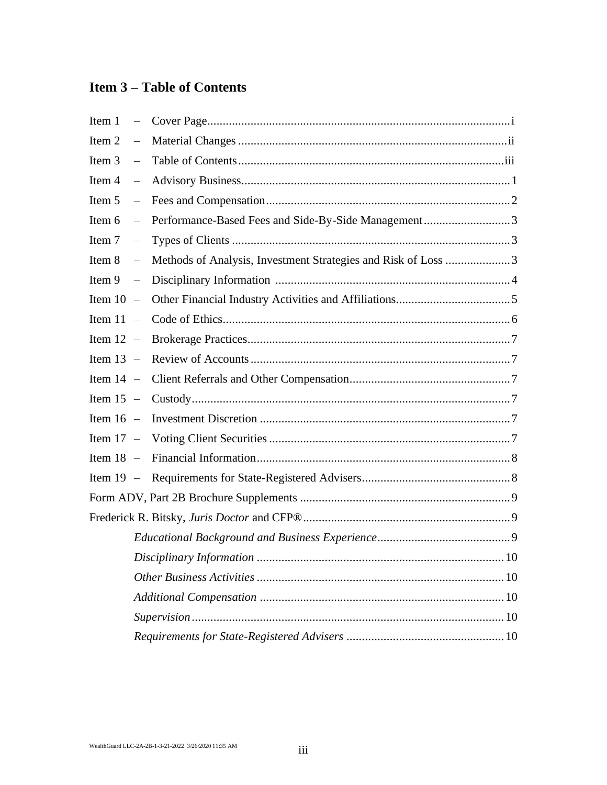# **Item 3 – Table of Contents**

| Item 1      | $\equiv$                 |                                                               |
|-------------|--------------------------|---------------------------------------------------------------|
| Item 2      | $\overline{\phantom{0}}$ |                                                               |
| Item 3      | $\equiv$                 |                                                               |
| Item 4      | $\equiv$                 |                                                               |
| Item 5      | $\frac{1}{2}$            |                                                               |
| Item 6      | $\overline{\phantom{0}}$ | Performance-Based Fees and Side-By-Side Management3           |
| Item 7      | $\equiv$                 |                                                               |
| Item 8      | $\overline{\phantom{0}}$ | Methods of Analysis, Investment Strategies and Risk of Loss 3 |
| Item 9      | $\overline{\phantom{0}}$ |                                                               |
| Item $10 -$ |                          |                                                               |
| Item $11 -$ |                          |                                                               |
| Item $12 -$ |                          |                                                               |
| Item $13 -$ |                          |                                                               |
| Item $14 -$ |                          |                                                               |
| Item $15 -$ |                          |                                                               |
| Item $16 -$ |                          |                                                               |
| Item $17 -$ |                          |                                                               |
| Item $18 -$ |                          |                                                               |
| Item $19 -$ |                          |                                                               |
|             |                          |                                                               |
|             |                          |                                                               |
|             |                          |                                                               |
|             |                          |                                                               |
|             |                          |                                                               |
|             |                          |                                                               |
|             |                          |                                                               |
|             |                          |                                                               |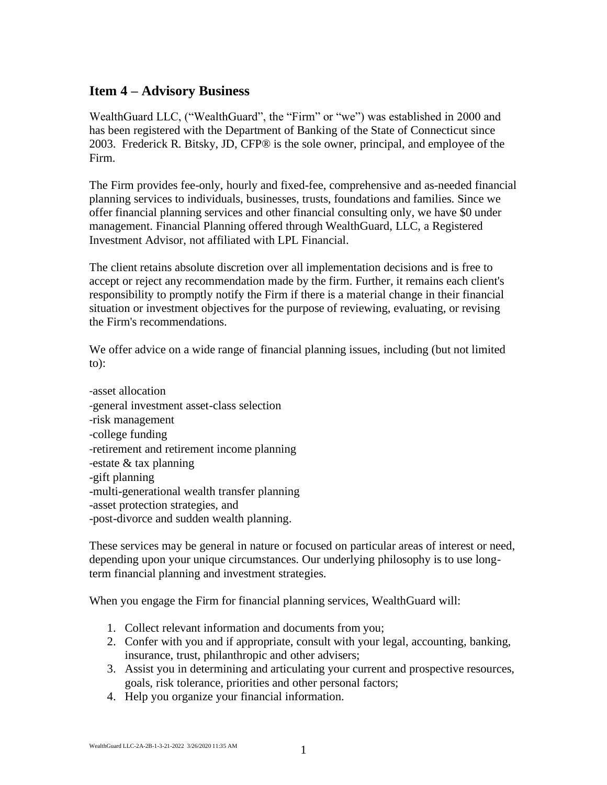### **Item 4 – Advisory Business**

WealthGuard LLC, ("WealthGuard", the "Firm" or "we") was established in 2000 and has been registered with the Department of Banking of the State of Connecticut since 2003. Frederick R. Bitsky, JD, CFP® is the sole owner, principal, and employee of the Firm.

The Firm provides fee-only, hourly and fixed-fee, comprehensive and as-needed financial planning services to individuals, businesses, trusts, foundations and families. Since we offer financial planning services and other financial consulting only, we have \$0 under management. Financial Planning offered through WealthGuard, LLC, a Registered Investment Advisor, not affiliated with LPL Financial.

The client retains absolute discretion over all implementation decisions and is free to accept or reject any recommendation made by the firm. Further, it remains each client's responsibility to promptly notify the Firm if there is a material change in their financial situation or investment objectives for the purpose of reviewing, evaluating, or revising the Firm's recommendations.

We offer advice on a wide range of financial planning issues, including (but not limited to):

‐asset allocation ‐general investment asset-class selection ‐risk management ‐college funding ‐retirement and retirement income planning ‐estate & tax planning -gift planning -multi-generational wealth transfer planning -asset protection strategies, and -post-divorce and sudden wealth planning.

These services may be general in nature or focused on particular areas of interest or need, depending upon your unique circumstances. Our underlying philosophy is to use longterm financial planning and investment strategies.

When you engage the Firm for financial planning services, WealthGuard will:

- 1. Collect relevant information and documents from you;
- 2. Confer with you and if appropriate, consult with your legal, accounting, banking, insurance, trust, philanthropic and other advisers;
- 3. Assist you in determining and articulating your current and prospective resources, goals, risk tolerance, priorities and other personal factors;
- 4. Help you organize your financial information.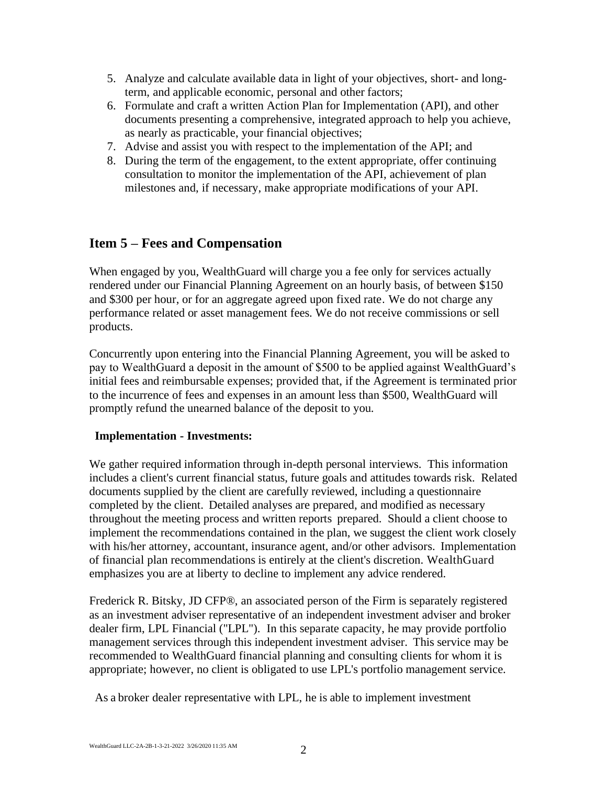- 5. Analyze and calculate available data in light of your objectives, short- and longterm, and applicable economic, personal and other factors;
- 6. Formulate and craft a written Action Plan for Implementation (API), and other documents presenting a comprehensive, integrated approach to help you achieve, as nearly as practicable, your financial objectives;
- 7. Advise and assist you with respect to the implementation of the API; and
- 8. During the term of the engagement, to the extent appropriate, offer continuing consultation to monitor the implementation of the API, achievement of plan milestones and, if necessary, make appropriate modifications of your API.

# **Item 5 – Fees and Compensation**

When engaged by you, WealthGuard will charge you a fee only for services actually rendered under our Financial Planning Agreement on an hourly basis, of between \$150 and \$300 per hour, or for an aggregate agreed upon fixed rate. We do not charge any performance related or asset management fees. We do not receive commissions or sell products.

Concurrently upon entering into the Financial Planning Agreement, you will be asked to pay to WealthGuard a deposit in the amount of \$500 to be applied against WealthGuard's initial fees and reimbursable expenses; provided that, if the Agreement is terminated prior to the incurrence of fees and expenses in an amount less than \$500, WealthGuard will promptly refund the unearned balance of the deposit to you.

#### **Implementation - Investments:**

We gather required information through in-depth personal interviews. This information includes a client's current financial status, future goals and attitudes towards risk. Related documents supplied by the client are carefully reviewed, including a questionnaire completed by the client. Detailed analyses are prepared, and modified as necessary throughout the meeting process and written reports prepared. Should a client choose to implement the recommendations contained in the plan, we suggest the client work closely with his/her attorney, accountant, insurance agent, and/or other advisors. Implementation of financial plan recommendations is entirely at the client's discretion. WealthGuard emphasizes you are at liberty to decline to implement any advice rendered.

Frederick R. Bitsky, JD CFP®, an associated person of the Firm is separately registered as an investment adviser representative of an independent investment adviser and broker dealer firm, LPL Financial ("LPL"). In this separate capacity, he may provide portfolio management services through this independent investment adviser. This service may be recommended to WealthGuard financial planning and consulting clients for whom it is appropriate; however, no client is obligated to use LPL's portfolio management service.

As a broker dealer representative with LPL, he is able to implement investment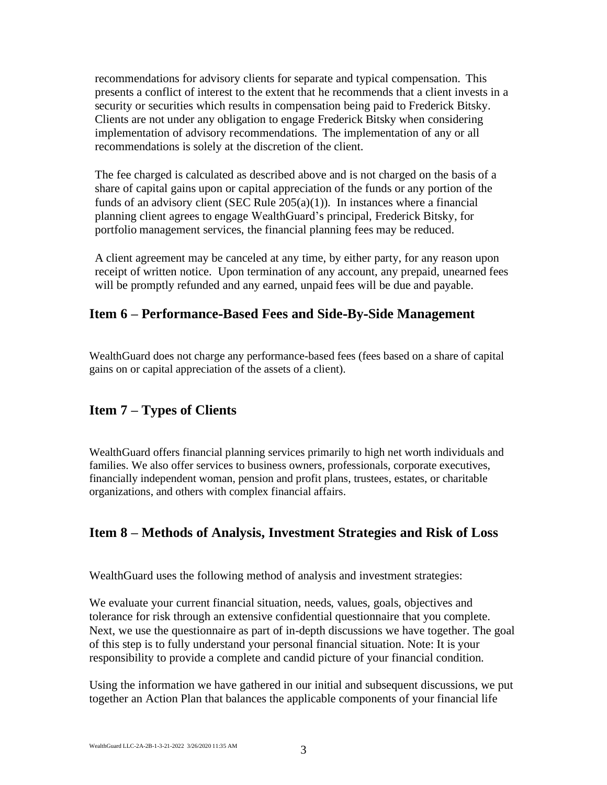recommendations for advisory clients for separate and typical compensation. This presents a conflict of interest to the extent that he recommends that a client invests in a security or securities which results in compensation being paid to Frederick Bitsky. Clients are not under any obligation to engage Frederick Bitsky when considering implementation of advisory recommendations. The implementation of any or all recommendations is solely at the discretion of the client.

The fee charged is calculated as described above and is not charged on the basis of a share of capital gains upon or capital appreciation of the funds or any portion of the funds of an advisory client (SEC Rule  $205(a)(1)$ ). In instances where a financial planning client agrees to engage WealthGuard's principal, Frederick Bitsky, for portfolio management services, the financial planning fees may be reduced.

A client agreement may be canceled at any time, by either party, for any reason upon receipt of written notice. Upon termination of any account, any prepaid, unearned fees will be promptly refunded and any earned, unpaid fees will be due and payable.

### **Item 6 – Performance‐Based Fees and Side‐By‐Side Management**

WealthGuard does not charge any performance-based fees (fees based on a share of capital gains on or capital appreciation of the assets of a client).

### **Item 7 – Types of Clients**

WealthGuard offers financial planning services primarily to high net worth individuals and families. We also offer services to business owners, professionals, corporate executives, financially independent woman, pension and profit plans, trustees, estates, or charitable organizations, and others with complex financial affairs.

### **Item 8 – Methods of Analysis, Investment Strategies and Risk of Loss**

WealthGuard uses the following method of analysis and investment strategies:

We evaluate your current financial situation, needs, values, goals, objectives and tolerance for risk through an extensive confidential questionnaire that you complete. Next, we use the questionnaire as part of in-depth discussions we have together. The goal of this step is to fully understand your personal financial situation. Note: It is your responsibility to provide a complete and candid picture of your financial condition.

Using the information we have gathered in our initial and subsequent discussions, we put together an Action Plan that balances the applicable components of your financial life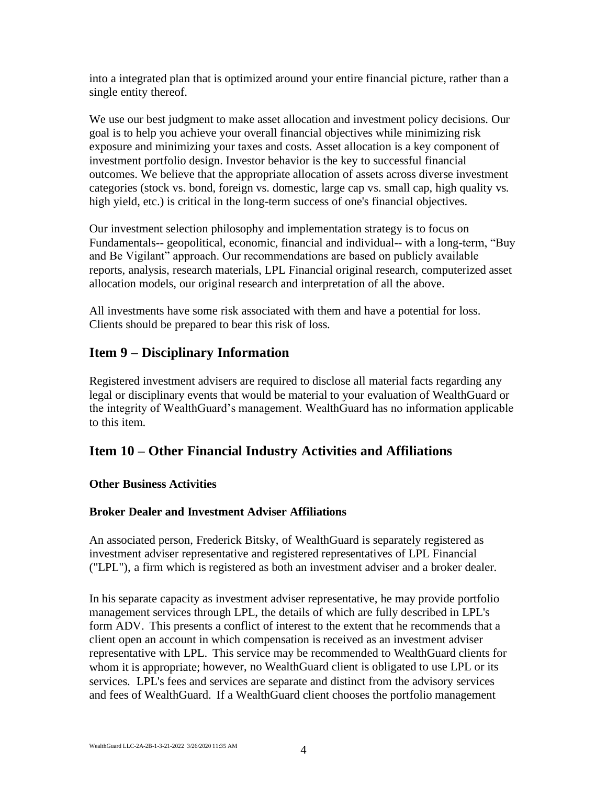into a integrated plan that is optimized around your entire financial picture, rather than a single entity thereof.

We use our best judgment to make asset allocation and investment policy decisions. Our goal is to help you achieve your overall financial objectives while minimizing risk exposure and minimizing your taxes and costs. Asset allocation is a key component of investment portfolio design. Investor behavior is the key to successful financial outcomes. We believe that the appropriate allocation of assets across diverse investment categories (stock vs. bond, foreign vs. domestic, large cap vs. small cap, high quality vs. high yield, etc.) is critical in the long-term success of one's financial objectives.

Our investment selection philosophy and implementation strategy is to focus on Fundamentals-- geopolitical, economic, financial and individual-- with a long-term, "Buy and Be Vigilant" approach. Our recommendations are based on publicly available reports, analysis, research materials, LPL Financial original research, computerized asset allocation models, our original research and interpretation of all the above.

All investments have some risk associated with them and have a potential for loss. Clients should be prepared to bear this risk of loss.

# **Item 9 – Disciplinary Information**

Registered investment advisers are required to disclose all material facts regarding any legal or disciplinary events that would be material to your evaluation of WealthGuard or the integrity of WealthGuard's management. WealthGuard has no information applicable to this item.

# **Item 10 – Other Financial Industry Activities and Affiliations**

### **Other Business Activities**

### **Broker Dealer and Investment Adviser Affiliations**

An associated person, Frederick Bitsky, of WealthGuard is separately registered as investment adviser representative and registered representatives of LPL Financial ("LPL"), a firm which is registered as both an investment adviser and a broker dealer.

In his separate capacity as investment adviser representative, he may provide portfolio management services through LPL, the details of which are fully described in LPL's form ADV. This presents a conflict of interest to the extent that he recommends that a client open an account in which compensation is received as an investment adviser representative with LPL. This service may be recommended to WealthGuard clients for whom it is appropriate; however, no WealthGuard client is obligated to use LPL or its services. LPL's fees and services are separate and distinct from the advisory services and fees of WealthGuard. If a WealthGuard client chooses the portfolio management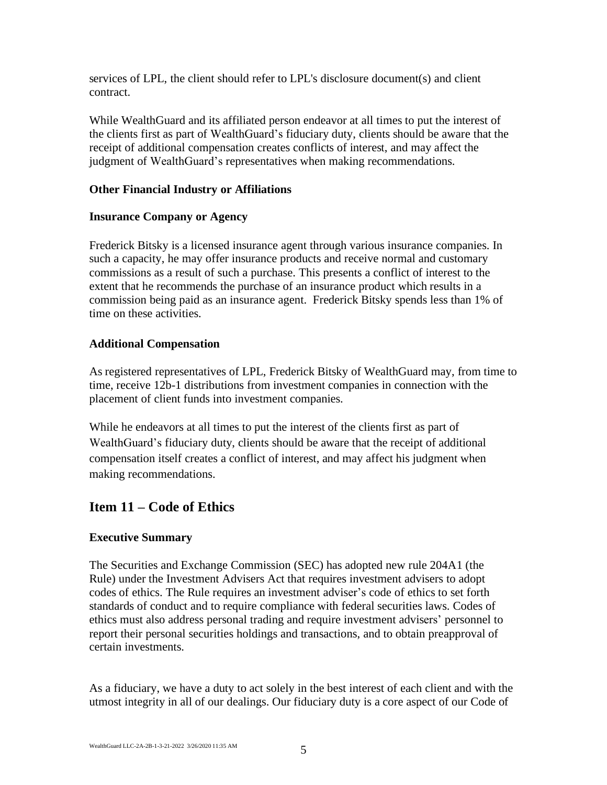services of LPL, the client should refer to LPL's disclosure document(s) and client contract.

While WealthGuard and its affiliated person endeavor at all times to put the interest of the clients first as part of WealthGuard's fiduciary duty, clients should be aware that the receipt of additional compensation creates conflicts of interest, and may affect the judgment of WealthGuard's representatives when making recommendations.

### **Other Financial Industry or Affiliations**

#### **Insurance Company or Agency**

Frederick Bitsky is a licensed insurance agent through various insurance companies. In such a capacity, he may offer insurance products and receive normal and customary commissions as a result of such a purchase. This presents a conflict of interest to the extent that he recommends the purchase of an insurance product which results in a commission being paid as an insurance agent. Frederick Bitsky spends less than 1% of time on these activities.

### **Additional Compensation**

As registered representatives of LPL, Frederick Bitsky of WealthGuard may, from time to time, receive 12b-1 distributions from investment companies in connection with the placement of client funds into investment companies.

While he endeavors at all times to put the interest of the clients first as part of WealthGuard's fiduciary duty, clients should be aware that the receipt of additional compensation itself creates a conflict of interest, and may affect his judgment when making recommendations.

# **Item 11 – Code of Ethics**

### **Executive Summary**

The Securities and Exchange Commission (SEC) has adopted new rule 204A1 (the Rule) under the Investment Advisers Act that requires investment advisers to adopt codes of ethics. The Rule requires an investment adviser's code of ethics to set forth standards of conduct and to require compliance with federal securities laws. Codes of ethics must also address personal trading and require investment advisers' personnel to report their personal securities holdings and transactions, and to obtain preapproval of certain investments.

As a fiduciary, we have a duty to act solely in the best interest of each client and with the utmost integrity in all of our dealings. Our fiduciary duty is a core aspect of our Code of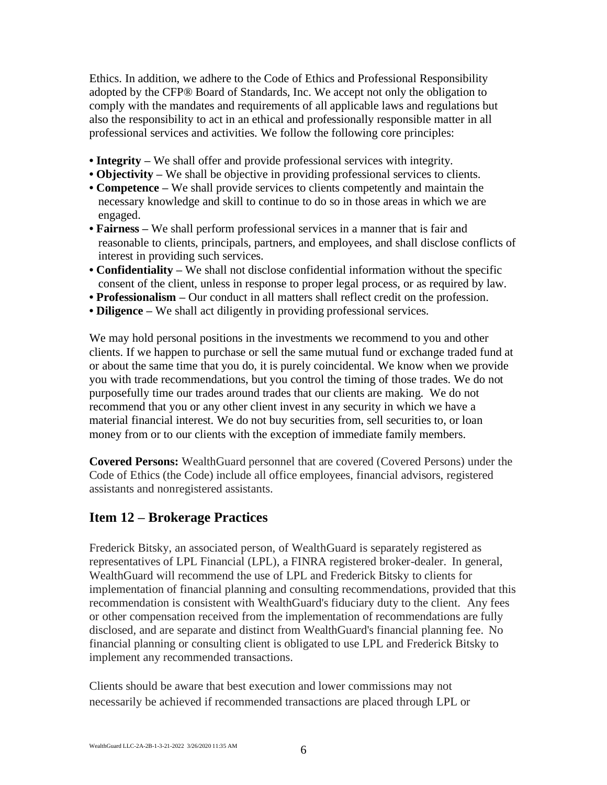Ethics. In addition, we adhere to the Code of Ethics and Professional Responsibility adopted by the CFP® Board of Standards, Inc. We accept not only the obligation to comply with the mandates and requirements of all applicable laws and regulations but also the responsibility to act in an ethical and professionally responsible matter in all professional services and activities. We follow the following core principles:

- **Integrity** We shall offer and provide professional services with integrity.
- **Objectivity** We shall be objective in providing professional services to clients.
- **Competence –** We shall provide services to clients competently and maintain the necessary knowledge and skill to continue to do so in those areas in which we are engaged.
- **Fairness –** We shall perform professional services in a manner that is fair and reasonable to clients, principals, partners, and employees, and shall disclose conflicts of interest in providing such services.
- **Confidentiality –** We shall not disclose confidential information without the specific consent of the client, unless in response to proper legal process, or as required by law.
- **Professionalism –** Our conduct in all matters shall reflect credit on the profession.
- **Diligence –** We shall act diligently in providing professional services.

We may hold personal positions in the investments we recommend to you and other clients. If we happen to purchase or sell the same mutual fund or exchange traded fund at or about the same time that you do, it is purely coincidental. We know when we provide you with trade recommendations, but you control the timing of those trades. We do not purposefully time our trades around trades that our clients are making. We do not recommend that you or any other client invest in any security in which we have a material financial interest. We do not buy securities from, sell securities to, or loan money from or to our clients with the exception of immediate family members.

**Covered Persons:** WealthGuard personnel that are covered (Covered Persons) under the Code of Ethics (the Code) include all office employees, financial advisors, registered assistants and nonregistered assistants.

### **Item 12 – Brokerage Practices**

Frederick Bitsky, an associated person, of WealthGuard is separately registered as representatives of LPL Financial (LPL), a FINRA registered broker-dealer. In general, WealthGuard will recommend the use of LPL and Frederick Bitsky to clients for implementation of financial planning and consulting recommendations, provided that this recommendation is consistent with WealthGuard's fiduciary duty to the client. Any fees or other compensation received from the implementation of recommendations are fully disclosed, and are separate and distinct from WealthGuard's financial planning fee. No financial planning or consulting client is obligated to use LPL and Frederick Bitsky to implement any recommended transactions.

Clients should be aware that best execution and lower commissions may not necessarily be achieved if recommended transactions are placed through LPL or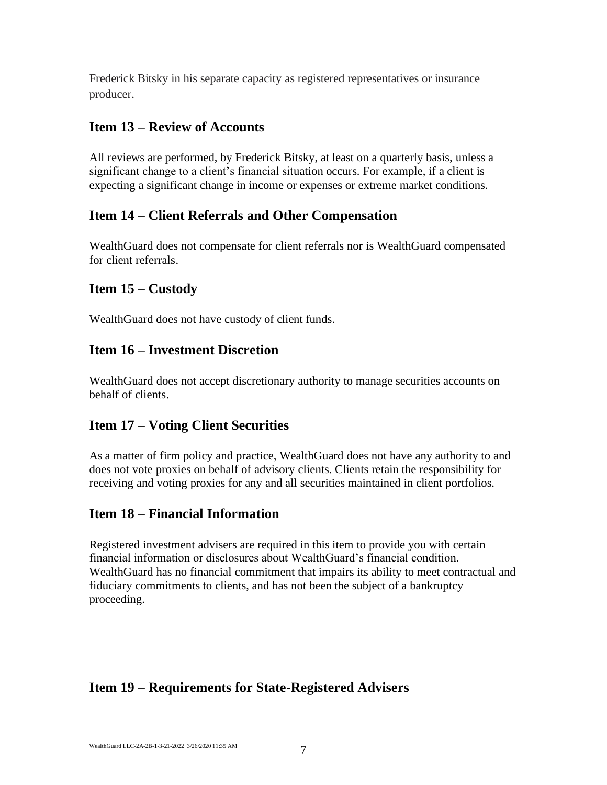Frederick Bitsky in his separate capacity as registered representatives or insurance producer.

# **Item 13 – Review of Accounts**

All reviews are performed, by Frederick Bitsky, at least on a quarterly basis, unless a significant change to a client's financial situation occurs. For example, if a client is expecting a significant change in income or expenses or extreme market conditions.

# **Item 14 – Client Referrals and Other Compensation**

WealthGuard does not compensate for client referrals nor is WealthGuard compensated for client referrals.

# **Item 15 – Custody**

WealthGuard does not have custody of client funds.

# **Item 16 – Investment Discretion**

WealthGuard does not accept discretionary authority to manage securities accounts on behalf of clients.

# **Item 17 – Voting Client Securities**

As a matter of firm policy and practice, WealthGuard does not have any authority to and does not vote proxies on behalf of advisory clients. Clients retain the responsibility for receiving and voting proxies for any and all securities maintained in client portfolios.

# **Item 18 – Financial Information**

Registered investment advisers are required in this item to provide you with certain financial information or disclosures about WealthGuard's financial condition. WealthGuard has no financial commitment that impairs its ability to meet contractual and fiduciary commitments to clients, and has not been the subject of a bankruptcy proceeding.

# **Item 19 – Requirements for State-Registered Advisers**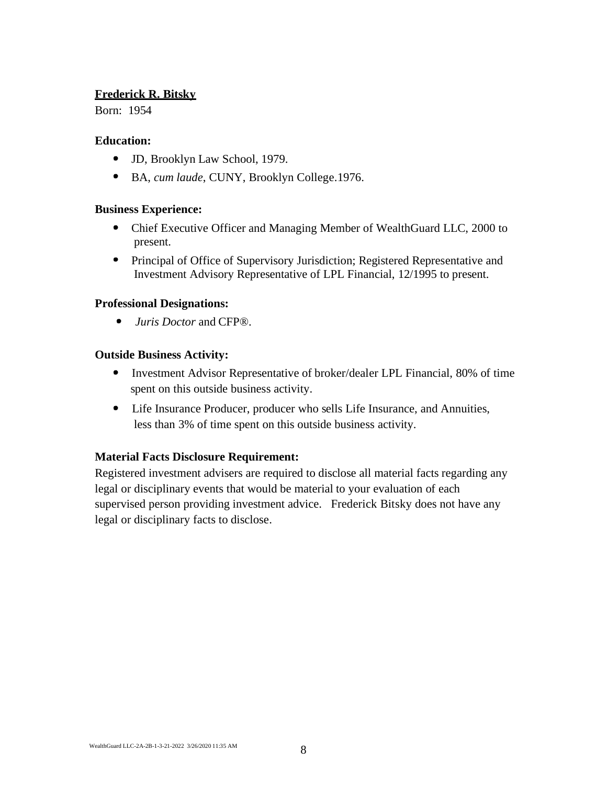### **Frederick R. Bitsky**

Born: 1954

#### **Education:**

- JD, Brooklyn Law School, 1979.
- BA, *cum laude*, CUNY, Brooklyn College.1976.

#### **Business Experience:**

- Chief Executive Officer and Managing Member of WealthGuard LLC, 2000 to present.
- Principal of Office of Supervisory Jurisdiction; Registered Representative and Investment Advisory Representative of LPL Financial, 12/1995 to present.

#### **Professional Designations:**

 $\bullet$ *Juris Doctor* and CFP®.

#### **Outside Business Activity:**

- Investment Advisor Representative of broker/dealer LPL Financial, 80% of time spent on this outside business activity.
- Life Insurance Producer, producer who sells Life Insurance, and Annuities, less than 3% of time spent on this outside business activity.

#### **Material Facts Disclosure Requirement:**

Registered investment advisers are required to disclose all material facts regarding any legal or disciplinary events that would be material to your evaluation of each supervised person providing investment advice. Frederick Bitsky does not have any legal or disciplinary facts to disclose.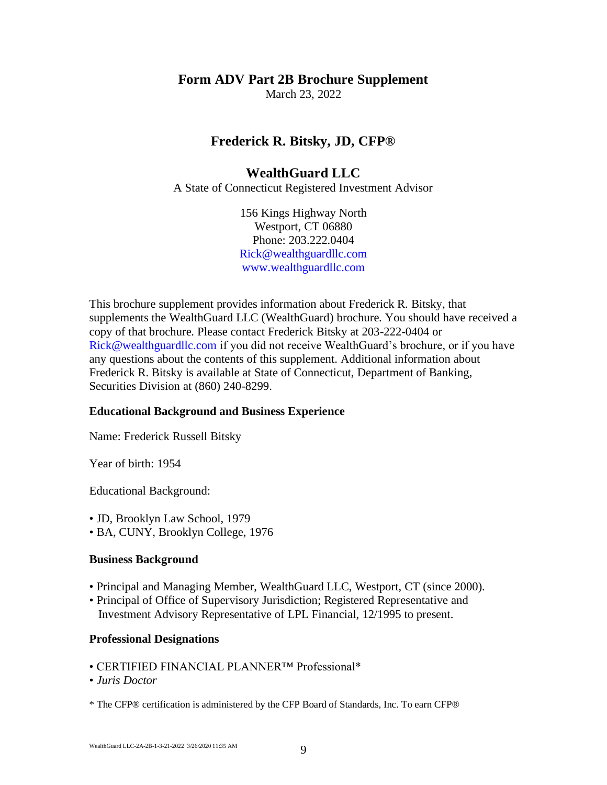# **Form ADV Part 2B Brochure Supplement**

March 23, 2022

### **Frederick R. Bitsky, JD, CFP®**

### **WealthGuard LLC**

A State of Connecticut Registered Investment Advisor

156 Kings Highway North Westport, CT 06880 Phone: 203.222.0404 Rick@wealthguardllc.com www.wealthguardllc.com

This brochure supplement provides information about Frederick R. Bitsky, that supplements the WealthGuard LLC (WealthGuard) brochure. You should have received a copy of that brochure. Please contact Frederick Bitsky at 203-222-0404 or Rick@wealthguardllc.com if you did not receive WealthGuard's brochure, or if you have any questions about the contents of this supplement. Additional information about Frederick R. Bitsky is available at State of Connecticut, Department of Banking, Securities Division at (860) 240-8299.

#### **Educational Background and Business Experience**

Name: Frederick Russell Bitsky

Year of birth: 1954

Educational Background:

- JD, Brooklyn Law School, 1979
- BA, CUNY, Brooklyn College, 1976

#### **Business Background**

- Principal and Managing Member, WealthGuard LLC, Westport, CT (since 2000).
- Principal of Office of Supervisory Jurisdiction; Registered Representative and Investment Advisory Representative of LPL Financial, 12/1995 to present.

#### **Professional Designations**

- CERTIFIED FINANCIAL PLANNER™ Professional\*
- *Juris Doctor*

\* The CFP® certification is administered by the CFP Board of Standards, Inc. To earn CFP®